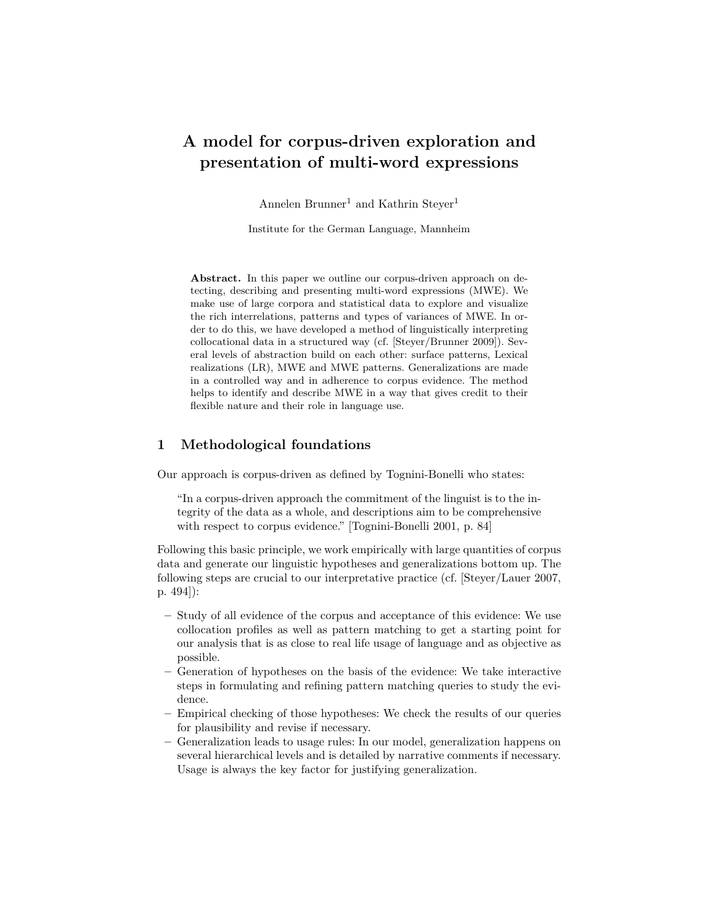# **A model for corpus-driven exploration and presentation of multi-word expressions**

Annelen Brunner<sup>1</sup> and Kathrin Steyer<sup>1</sup>

Institute for the German Language, Mannheim

**Abstract.** In this paper we outline our corpus-driven approach on detecting, describing and presenting multi-word expressions (MWE). We make use of large corpora and statistical data to explore and visualize the rich interrelations, patterns and types of variances of MWE. In order to do this, we have developed a method of linguistically interpreting collocational data in a structured way (cf. [Steyer/Brunner 2009]). Several levels of abstraction build on each other: surface patterns, Lexical realizations (LR), MWE and MWE patterns. Generalizations are made in a controlled way and in adherence to corpus evidence. The method helps to identify and describe MWE in a way that gives credit to their flexible nature and their role in language use.

# **1 Methodological foundations**

Our approach is corpus-driven as defined by Tognini-Bonelli who states:

"In a corpus-driven approach the commitment of the linguist is to the integrity of the data as a whole, and descriptions aim to be comprehensive with respect to corpus evidence." [Tognini-Bonelli 2001, p. 84]

Following this basic principle, we work empirically with large quantities of corpus data and generate our linguistic hypotheses and generalizations bottom up. The following steps are crucial to our interpretative practice (cf. [Steyer/Lauer 2007, p. 494]):

- **–** Study of all evidence of the corpus and acceptance of this evidence: We use collocation profiles as well as pattern matching to get a starting point for our analysis that is as close to real life usage of language and as objective as possible.
- **–** Generation of hypotheses on the basis of the evidence: We take interactive steps in formulating and refining pattern matching queries to study the evidence.
- **–** Empirical checking of those hypotheses: We check the results of our queries for plausibility and revise if necessary.
- **–** Generalization leads to usage rules: In our model, generalization happens on several hierarchical levels and is detailed by narrative comments if necessary. Usage is always the key factor for justifying generalization.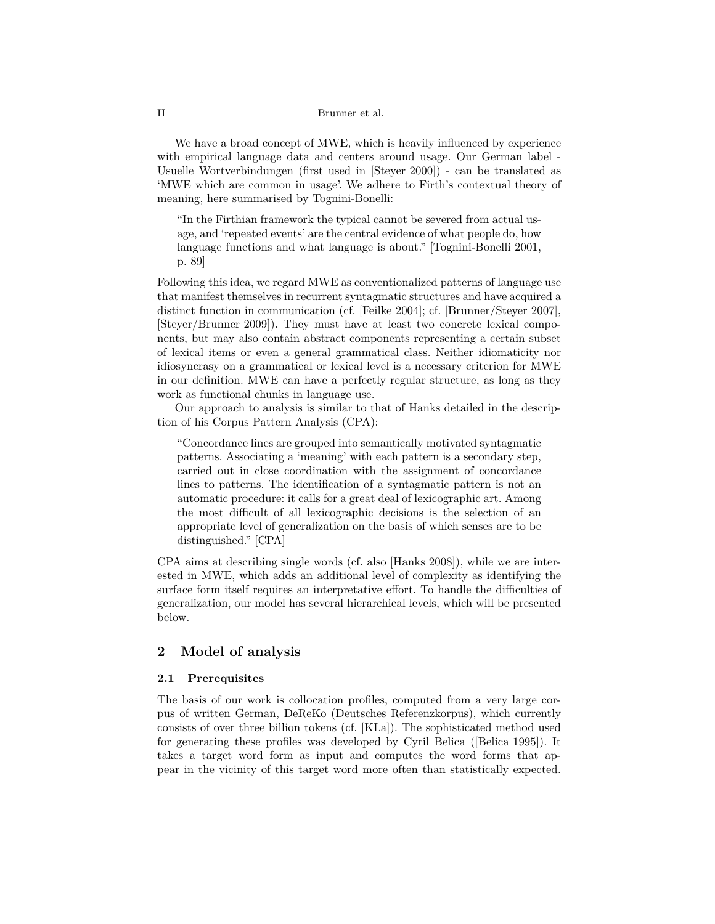We have a broad concept of MWE, which is heavily influenced by experience with empirical language data and centers around usage. Our German label - Usuelle Wortverbindungen (first used in [Steyer 2000]) - can be translated as 'MWE which are common in usage'. We adhere to Firth's contextual theory of meaning, here summarised by Tognini-Bonelli:

"In the Firthian framework the typical cannot be severed from actual usage, and 'repeated events' are the central evidence of what people do, how language functions and what language is about." [Tognini-Bonelli 2001, p. 89]

Following this idea, we regard MWE as conventionalized patterns of language use that manifest themselves in recurrent syntagmatic structures and have acquired a distinct function in communication (cf. [Feilke 2004]; cf. [Brunner/Steyer 2007], [Steyer/Brunner 2009]). They must have at least two concrete lexical components, but may also contain abstract components representing a certain subset of lexical items or even a general grammatical class. Neither idiomaticity nor idiosyncrasy on a grammatical or lexical level is a necessary criterion for MWE in our definition. MWE can have a perfectly regular structure, as long as they work as functional chunks in language use.

Our approach to analysis is similar to that of Hanks detailed in the description of his Corpus Pattern Analysis (CPA):

"Concordance lines are grouped into semantically motivated syntagmatic patterns. Associating a 'meaning' with each pattern is a secondary step, carried out in close coordination with the assignment of concordance lines to patterns. The identification of a syntagmatic pattern is not an automatic procedure: it calls for a great deal of lexicographic art. Among the most difficult of all lexicographic decisions is the selection of an appropriate level of generalization on the basis of which senses are to be distinguished." [CPA]

CPA aims at describing single words (cf. also [Hanks 2008]), while we are interested in MWE, which adds an additional level of complexity as identifying the surface form itself requires an interpretative effort. To handle the difficulties of generalization, our model has several hierarchical levels, which will be presented below.

## **2 Model of analysis**

#### **2.1 Prerequisites**

The basis of our work is collocation profiles, computed from a very large corpus of written German, DeReKo (Deutsches Referenzkorpus), which currently consists of over three billion tokens (cf. [KLa]). The sophisticated method used for generating these profiles was developed by Cyril Belica ([Belica 1995]). It takes a target word form as input and computes the word forms that appear in the vicinity of this target word more often than statistically expected.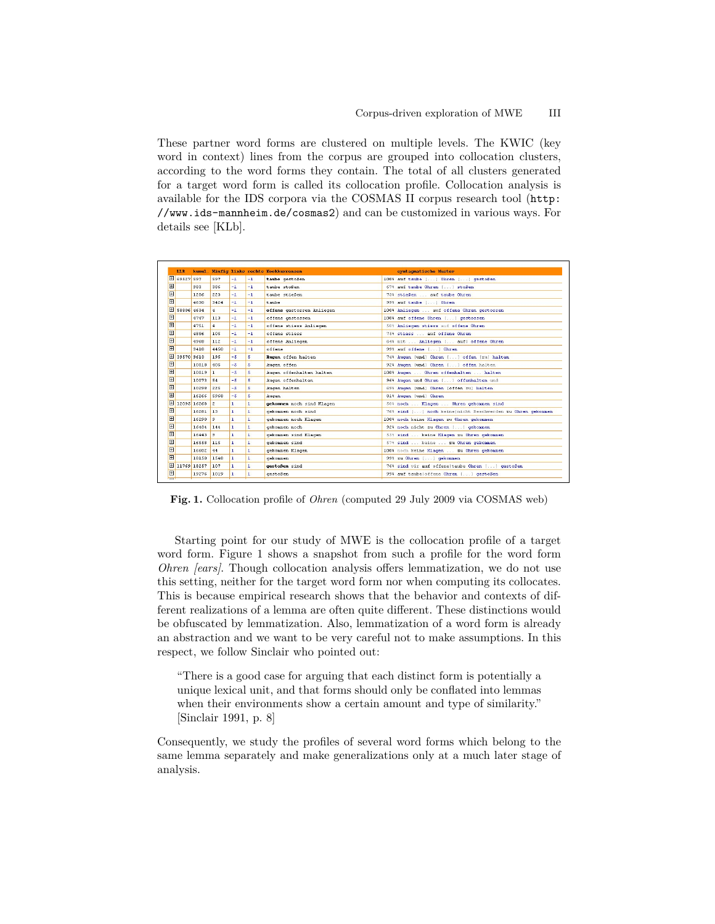These partner word forms are clustered on multiple levels. The KWIC (key word in context) lines from the corpus are grouped into collocation clusters, according to the word forms they contain. The total of all clusters generated for a target word form is called its collocation profile. Collocation analysis is available for the IDS corpora via the COSMAS II corpus research tool (http: //www.ids-mannheim.de/cosmas2) and can be customized in various ways. For details see [KLb].

|                | LL <sub>R</sub> | kumul. |                |              |              | Häufig links rechts Kookkurrenzen | syntagmatische Muster                                      |
|----------------|-----------------|--------|----------------|--------------|--------------|-----------------------------------|------------------------------------------------------------|
| 田              | 69527 597       |        | 597            | $-1$         | $-1$         | taube gestoßen                    | 100% auf taube [] Ohren [] gestoßen                        |
| $\overline{E}$ |                 | 983    | 386            | $-1$         | $-1$         | taube stoßen                      | 67% auf taube Ohren [] stoßen                              |
| E              |                 | 1206   | 223            | $-1$         | $-1$         | taube stießen                     | 73% stießen – auf tauhe Ohren                              |
| 田              |                 | 4630   | 3424           | $-1$         | $-1$         | tauhe                             | 99% auf tauhe [ ] Ohren                                    |
| 田              | 58806 4634      |        | $\overline{4}$ | $-1$         | $-1$         | offene gestossen Anliegen         | 100% Anliegen  auf offene Ohren gestossen                  |
| E              |                 | 4747   | 113            | $-1$         | $-1$         | offene gestossen                  | 100% auf offene Ohren [] gestossen                         |
| $\overline{E}$ |                 | 4751   | $\overline{4}$ | $-1$         | $-1$         | offene stiess Anliegen            | 50% Anliegen stiess auf offene Ohren                       |
| E              |                 | 4856   | 105            | $-1$         | $-1$         | offene stiess                     | 75% stiess  auf offene Ohren                               |
| E              |                 | 4968   | 112            | $-1$         | $-1$         | offene Anliegen                   | 64% mit  Anliegen [ auf] offene Ohren                      |
| $\overline{E}$ |                 | 9418   | 4450           | $-1$         | $-1$         | offene                            | 99% auf offene [] Ohren                                    |
| 田              | 39570 9613      |        | 195            | $-5$         | ×.           | Rugen offen halten                | 74% Augen [und] Ohren [] offen [zu] halten                 |
| E              |                 | 10018  | 405            | $-5$         | K.           | Augen offen                       | 92% Augen [und] Ohren [] offen halten                      |
| E              |                 | 10019  | $\mathbf{1}$   | $-5$         | s.           | Augen offenhalten halten          | 100% Augen  Ohren offenhalten  halten                      |
| E              |                 | 10073  | 54             | $-5$         | s            | Augen offenhalten                 | 96% Augen und Ohren [] offenhalten und                     |
| E              |                 | 10298  | 225            | $-5$         | s            | Augen halten                      | 69% Augen [und] Ohren [offen zu] halten                    |
| $\overline{E}$ |                 | 16266  | 5968           | $-5$         | к            | Augen                             | 81% Augen [und] Ohren                                      |
| 田              | 12095 16268     |        | $\overline{z}$ | п.           | $\mathbf{L}$ | gekommen noch sind Klagen         | 50% noch  Klagen  Ohren gekommen sind                      |
| 田              |                 | 16281  | 13             | $\mathbf{1}$ | $\mathbf{1}$ | gekommen noch sind                | 76% sind [] noch keine micht Beschwerden zu Ohren gekommen |
| E              |                 | 16290  | $\overline{9}$ | $\mathbf{I}$ | $\mathbf{I}$ | gekommen noch Klagen              | 100% noch keine Klagen zu Ohren gekommen                   |
| E              |                 | 16434  | 144            | $\mathbf{1}$ | $\mathbf{1}$ | gekommen noch                     | 92% noch nicht zu Ohren [] gekommen                        |
| E              |                 | 16443  | $\mathbf{Q}$   | ٠.           | $\mathbf{1}$ | gekommen sind Klagen              | 55% sind  keine Klagen zu Ohren gekommen                   |
| E              |                 | 16558  | 115            | п.           | $\mathbf{1}$ | gekommen sind                     | 57% sind  keine  zu Ohren gekommen                         |
| 田              |                 | 16602  | 44             | $\mathbf{L}$ | $\mathbf{1}$ | gekommen Klagen                   | 100% noch keine Klagen  zu Ohren gekommen                  |
| F              |                 | 18150  | 1548           | $\mathbf{1}$ | $\mathbf{1}$ | gekommen.                         | 99% zu Ohren [] gekommen                                   |
| 田              | 11769 18257     |        | 107            | 1            | $\mathbf{1}$ | gestoßen sind                     | 76% sind wir auf offene taube Ohren [] gestoßen            |
| E              |                 | 19276  | 1019           | $\mathbf{1}$ | $\mathbf{1}$ | gestoßen                          | 99% auf taubeloffene Ohren [] gestoßen                     |

**Fig. 1.** Collocation profile of *Ohren* (computed 29 July 2009 via COSMAS web)

Starting point for our study of MWE is the collocation profile of a target word form. Figure 1 shows a snapshot from such a profile for the word form *Ohren [ears]*. Though collocation analysis offers lemmatization, we do not use this setting, neither for the target word form nor when computing its collocates. This is because empirical research shows that the behavior and contexts of different realizations of a lemma are often quite different. These distinctions would be obfuscated by lemmatization. Also, lemmatization of a word form is already an abstraction and we want to be very careful not to make assumptions. In this respect, we follow Sinclair who pointed out:

"There is a good case for arguing that each distinct form is potentially a unique lexical unit, and that forms should only be conflated into lemmas when their environments show a certain amount and type of similarity." [Sinclair 1991, p. 8]

Consequently, we study the profiles of several word forms which belong to the same lemma separately and make generalizations only at a much later stage of analysis.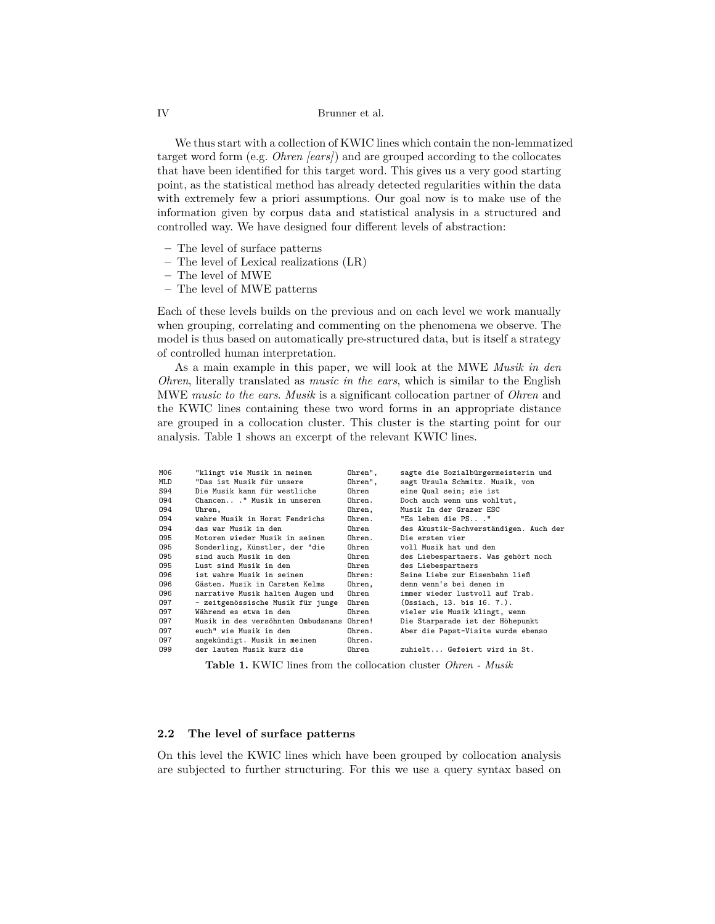#### IV Brunner et al.

We thus start with a collection of KWIC lines which contain the non-lemmatized target word form (e.g. *Ohren [ears]*) and are grouped according to the collocates that have been identified for this target word. This gives us a very good starting point, as the statistical method has already detected regularities within the data with extremely few a priori assumptions. Our goal now is to make use of the information given by corpus data and statistical analysis in a structured and controlled way. We have designed four different levels of abstraction:

- **–** The level of surface patterns
- **–** The level of Lexical realizations (LR)
- **–** The level of MWE
- **–** The level of MWE patterns

Each of these levels builds on the previous and on each level we work manually when grouping, correlating and commenting on the phenomena we observe. The model is thus based on automatically pre-structured data, but is itself a strategy of controlled human interpretation.

As a main example in this paper, we will look at the MWE *Musik in den Ohren*, literally translated as *music in the ears*, which is similar to the English MWE *music to the ears*. *Musik* is a significant collocation partner of *Ohren* and the KWIC lines containing these two word forms in an appropriate distance are grouped in a collocation cluster. This cluster is the starting point for our analysis. Table 1 shows an excerpt of the relevant KWIC lines.

| MO6 | "klingt wie Musik in meinen        | Ohren", | sagte die Sozialbürgermeisterin und    |
|-----|------------------------------------|---------|----------------------------------------|
| MLD | "Das ist Musik für unsere          | Ohren", | sagt Ursula Schmitz. Musik, von        |
| S94 | Die Musik kann für westliche       | Ohren   | eine Qual sein; sie ist                |
| 094 | Chancen" Musik in unseren          | Ohren.  | Doch auch wenn uns wohltut,            |
| 094 | Uhren,                             | Ohren,  | Musik In der Grazer ESC                |
| 094 | wahre Musik in Horst Fendrichs     | Ohren.  | "Es leben die PS"                      |
| 094 | das war Musik in den               | Ohren   | des Akustik-Sachverständigen. Auch der |
| 095 | Motoren wieder Musik in seinen     | Ohren.  | Die ersten vier                        |
| 095 | Sonderling, Künstler, der "die     | Ohren   | voll Musik hat und den                 |
| 095 | sind auch Musik in den             | Ohren   | des Liebespartners. Was gehört noch    |
| 095 | Lust sind Musik in den             | Ohren   | des Liebespartners                     |
| 096 | ist wahre Musik in seinen          | Ohren:  | Seine Liebe zur Eisenbahn ließ         |
| 096 | Gästen. Musik in Carsten Kelms     | Ohren,  | denn wenn's bei denen im               |
| 096 | narrative Musik halten Augen und   | Ohren   | immer wieder lustvoll auf Trab.        |
| 097 | - zeitgenössische Musik für junge  | Ohren   | (Ossiach, 13. bis 16. 7.).             |
| 097 | Während es etwa in den             | Ohren   | vieler wie Musik klingt, wenn          |
| 097 | Musik in des versöhnten Ombudsmans | Ohren!  | Die Starparade ist der Höhepunkt       |
| 097 | euch" wie Musik in den             | Ohren.  | Aber die Papst-Visite wurde ebenso     |
| 097 | angekündigt. Musik in meinen       | Ohren.  |                                        |
| 099 | der lauten Musik kurz die          | Ohren   | zuhielt Gefeiert wird in St.           |
|     |                                    |         |                                        |

**Table 1.** KWIC lines from the collocation cluster *Ohren - Musik*

#### **2.2 The level of surface patterns**

On this level the KWIC lines which have been grouped by collocation analysis are subjected to further structuring. For this we use a query syntax based on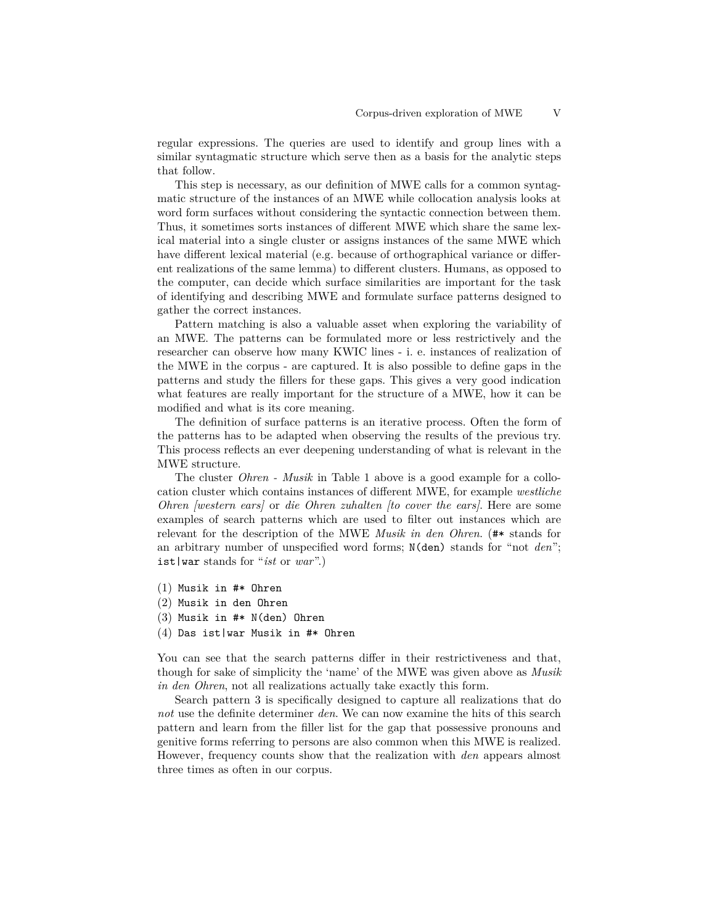regular expressions. The queries are used to identify and group lines with a similar syntagmatic structure which serve then as a basis for the analytic steps that follow.

This step is necessary, as our definition of MWE calls for a common syntagmatic structure of the instances of an MWE while collocation analysis looks at word form surfaces without considering the syntactic connection between them. Thus, it sometimes sorts instances of different MWE which share the same lexical material into a single cluster or assigns instances of the same MWE which have different lexical material (e.g. because of orthographical variance or different realizations of the same lemma) to different clusters. Humans, as opposed to the computer, can decide which surface similarities are important for the task of identifying and describing MWE and formulate surface patterns designed to gather the correct instances.

Pattern matching is also a valuable asset when exploring the variability of an MWE. The patterns can be formulated more or less restrictively and the researcher can observe how many KWIC lines - i. e. instances of realization of the MWE in the corpus - are captured. It is also possible to define gaps in the patterns and study the fillers for these gaps. This gives a very good indication what features are really important for the structure of a MWE, how it can be modified and what is its core meaning.

The definition of surface patterns is an iterative process. Often the form of the patterns has to be adapted when observing the results of the previous try. This process reflects an ever deepening understanding of what is relevant in the MWE structure.

The cluster *Ohren - Musik* in Table 1 above is a good example for a collocation cluster which contains instances of different MWE, for example *westliche Ohren [western ears]* or *die Ohren zuhalten [to cover the ears]*. Here are some examples of search patterns which are used to filter out instances which are relevant for the description of the MWE *Musik in den Ohren*. (#\* stands for an arbitrary number of unspecified word forms; N(den) stands for "not *den*"; ist|war stands for "*ist* or *war*".)

- (1) Musik in #\* Ohren
- (2) Musik in den Ohren
- (3) Musik in #\* N(den) Ohren
- (4) Das ist|war Musik in #\* Ohren

You can see that the search patterns differ in their restrictiveness and that, though for sake of simplicity the 'name' of the MWE was given above as *Musik in den Ohren*, not all realizations actually take exactly this form.

Search pattern 3 is specifically designed to capture all realizations that do *not* use the definite determiner *den*. We can now examine the hits of this search pattern and learn from the filler list for the gap that possessive pronouns and genitive forms referring to persons are also common when this MWE is realized. However, frequency counts show that the realization with *den* appears almost three times as often in our corpus.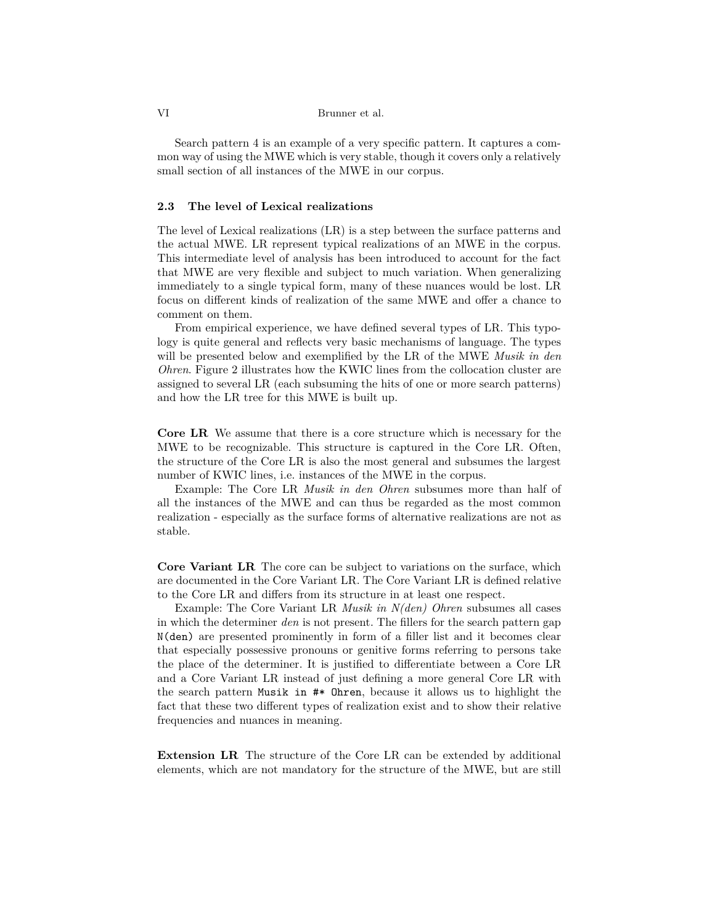#### VI Brunner et al.

Search pattern 4 is an example of a very specific pattern. It captures a common way of using the MWE which is very stable, though it covers only a relatively small section of all instances of the MWE in our corpus.

#### **2.3 The level of Lexical realizations**

The level of Lexical realizations (LR) is a step between the surface patterns and the actual MWE. LR represent typical realizations of an MWE in the corpus. This intermediate level of analysis has been introduced to account for the fact that MWE are very flexible and subject to much variation. When generalizing immediately to a single typical form, many of these nuances would be lost. LR focus on different kinds of realization of the same MWE and offer a chance to comment on them.

From empirical experience, we have defined several types of LR. This typology is quite general and reflects very basic mechanisms of language. The types will be presented below and exemplified by the LR of the MWE *Musik in den Ohren*. Figure 2 illustrates how the KWIC lines from the collocation cluster are assigned to several LR (each subsuming the hits of one or more search patterns) and how the LR tree for this MWE is built up.

**Core LR** We assume that there is a core structure which is necessary for the MWE to be recognizable. This structure is captured in the Core LR. Often, the structure of the Core LR is also the most general and subsumes the largest number of KWIC lines, i.e. instances of the MWE in the corpus.

Example: The Core LR *Musik in den Ohren* subsumes more than half of all the instances of the MWE and can thus be regarded as the most common realization - especially as the surface forms of alternative realizations are not as stable.

**Core Variant LR** The core can be subject to variations on the surface, which are documented in the Core Variant LR. The Core Variant LR is defined relative to the Core LR and differs from its structure in at least one respect.

Example: The Core Variant LR *Musik in N(den) Ohren* subsumes all cases in which the determiner *den* is not present. The fillers for the search pattern gap N(den) are presented prominently in form of a filler list and it becomes clear that especially possessive pronouns or genitive forms referring to persons take the place of the determiner. It is justified to differentiate between a Core LR and a Core Variant LR instead of just defining a more general Core LR with the search pattern Musik in #\* Ohren, because it allows us to highlight the fact that these two different types of realization exist and to show their relative frequencies and nuances in meaning.

**Extension LR** The structure of the Core LR can be extended by additional elements, which are not mandatory for the structure of the MWE, but are still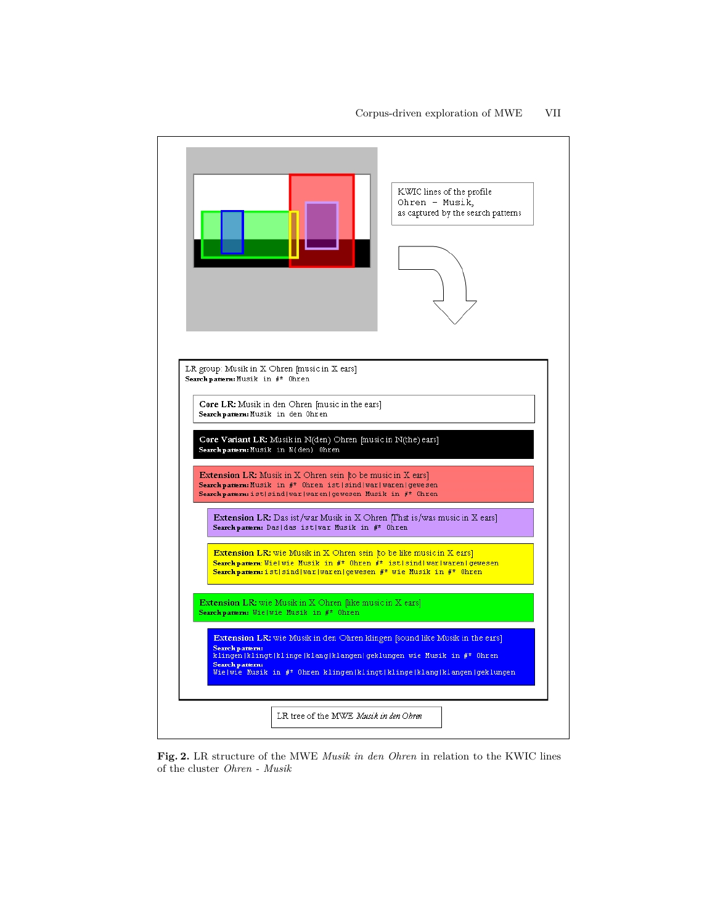#### Corpus-driven exploration of MWE VII



**Fig. 2.** LR structure of the MWE *Musik in den Ohren* in relation to the KWIC lines of the cluster *Ohren - Musik*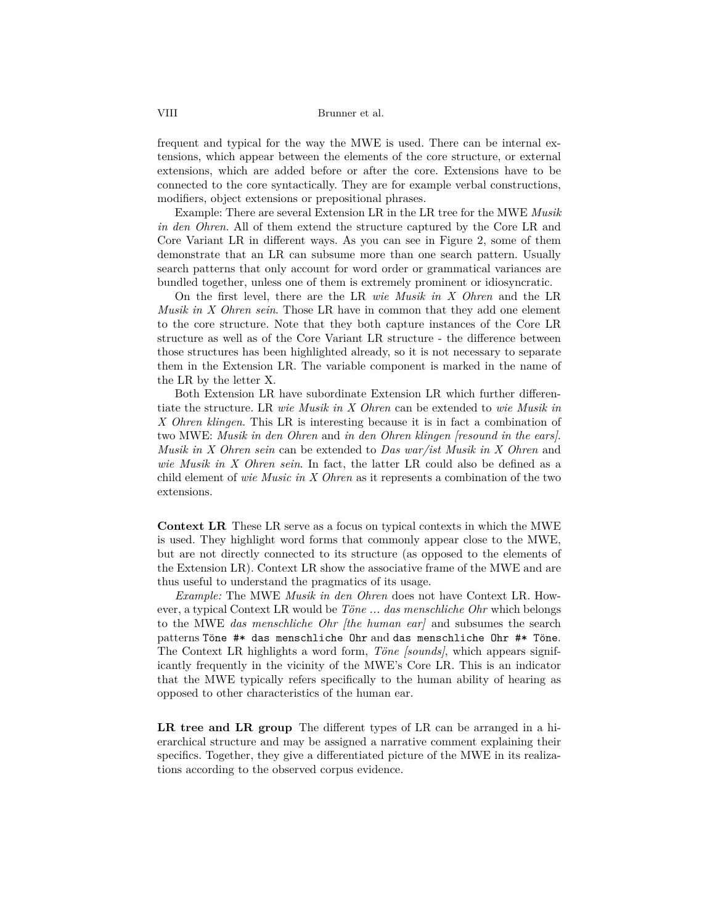frequent and typical for the way the MWE is used. There can be internal extensions, which appear between the elements of the core structure, or external extensions, which are added before or after the core. Extensions have to be connected to the core syntactically. They are for example verbal constructions, modifiers, object extensions or prepositional phrases.

Example: There are several Extension LR in the LR tree for the MWE *Musik in den Ohren*. All of them extend the structure captured by the Core LR and Core Variant LR in different ways. As you can see in Figure 2, some of them demonstrate that an LR can subsume more than one search pattern. Usually search patterns that only account for word order or grammatical variances are bundled together, unless one of them is extremely prominent or idiosyncratic.

On the first level, there are the LR *wie Musik in X Ohren* and the LR *Musik in X Ohren sein*. Those LR have in common that they add one element to the core structure. Note that they both capture instances of the Core LR structure as well as of the Core Variant LR structure - the difference between those structures has been highlighted already, so it is not necessary to separate them in the Extension LR. The variable component is marked in the name of the LR by the letter X.

Both Extension LR have subordinate Extension LR which further differentiate the structure. LR *wie Musik in X Ohren* can be extended to *wie Musik in X Ohren klingen*. This LR is interesting because it is in fact a combination of two MWE: *Musik in den Ohren* and *in den Ohren klingen [resound in the ears]*. *Musik in X Ohren sein* can be extended to *Das war/ist Musik in X Ohren* and *wie Musik in X Ohren sein*. In fact, the latter LR could also be defined as a child element of *wie Music in X Ohren* as it represents a combination of the two extensions.

**Context LR** These LR serve as a focus on typical contexts in which the MWE is used. They highlight word forms that commonly appear close to the MWE, but are not directly connected to its structure (as opposed to the elements of the Extension LR). Context LR show the associative frame of the MWE and are thus useful to understand the pragmatics of its usage.

*Example:* The MWE *Musik in den Ohren* does not have Context LR. However, a typical Context LR would be *Töne ... das menschliche Ohr* which belongs to the MWE *das menschliche Ohr [the human ear]* and subsumes the search patterns Töne #\* das menschliche Ohr and das menschliche Ohr #\* Töne. The Context LR highlights a word form, *Töne [sounds]*, which appears significantly frequently in the vicinity of the MWE's Core LR. This is an indicator that the MWE typically refers specifically to the human ability of hearing as opposed to other characteristics of the human ear.

**LR tree and LR group** The different types of LR can be arranged in a hierarchical structure and may be assigned a narrative comment explaining their specifics. Together, they give a differentiated picture of the MWE in its realizations according to the observed corpus evidence.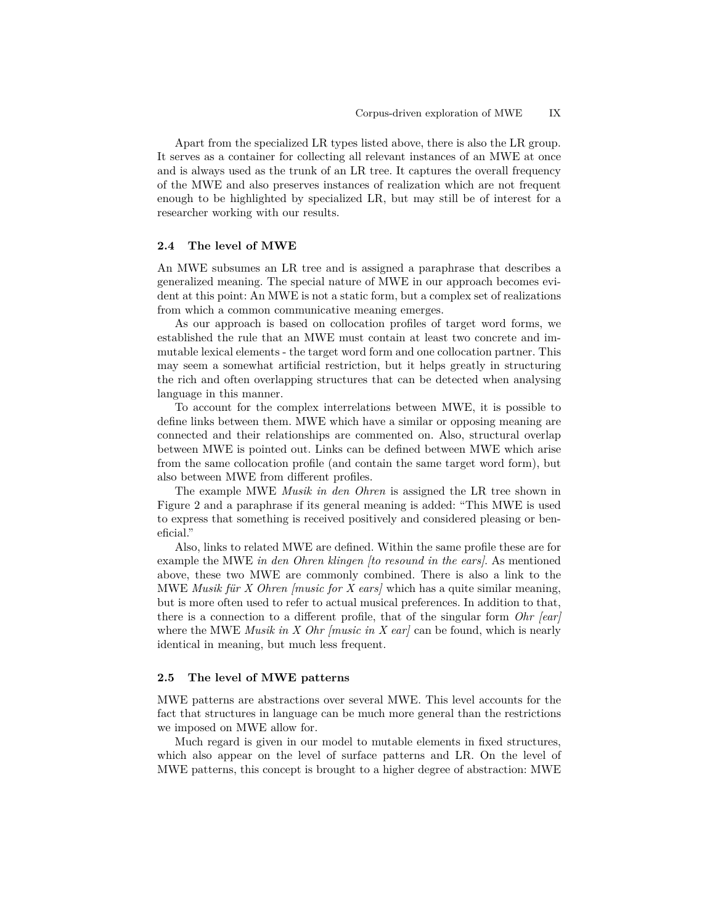Apart from the specialized LR types listed above, there is also the LR group. It serves as a container for collecting all relevant instances of an MWE at once and is always used as the trunk of an LR tree. It captures the overall frequency of the MWE and also preserves instances of realization which are not frequent enough to be highlighted by specialized LR, but may still be of interest for a researcher working with our results.

#### **2.4 The level of MWE**

An MWE subsumes an LR tree and is assigned a paraphrase that describes a generalized meaning. The special nature of MWE in our approach becomes evident at this point: An MWE is not a static form, but a complex set of realizations from which a common communicative meaning emerges.

As our approach is based on collocation profiles of target word forms, we established the rule that an MWE must contain at least two concrete and immutable lexical elements - the target word form and one collocation partner. This may seem a somewhat artificial restriction, but it helps greatly in structuring the rich and often overlapping structures that can be detected when analysing language in this manner.

To account for the complex interrelations between MWE, it is possible to define links between them. MWE which have a similar or opposing meaning are connected and their relationships are commented on. Also, structural overlap between MWE is pointed out. Links can be defined between MWE which arise from the same collocation profile (and contain the same target word form), but also between MWE from different profiles.

The example MWE *Musik in den Ohren* is assigned the LR tree shown in Figure 2 and a paraphrase if its general meaning is added: "This MWE is used to express that something is received positively and considered pleasing or beneficial."

Also, links to related MWE are defined. Within the same profile these are for example the MWE *in den Ohren klingen [to resound in the ears]*. As mentioned above, these two MWE are commonly combined. There is also a link to the MWE *Musik für X Ohren [music for X ears]* which has a quite similar meaning, but is more often used to refer to actual musical preferences. In addition to that, there is a connection to a different profile, that of the singular form *Ohr [ear]* where the MWE *Musik in X Ohr [music in X ear]* can be found, which is nearly identical in meaning, but much less frequent.

#### **2.5 The level of MWE patterns**

MWE patterns are abstractions over several MWE. This level accounts for the fact that structures in language can be much more general than the restrictions we imposed on MWE allow for.

Much regard is given in our model to mutable elements in fixed structures, which also appear on the level of surface patterns and LR. On the level of MWE patterns, this concept is brought to a higher degree of abstraction: MWE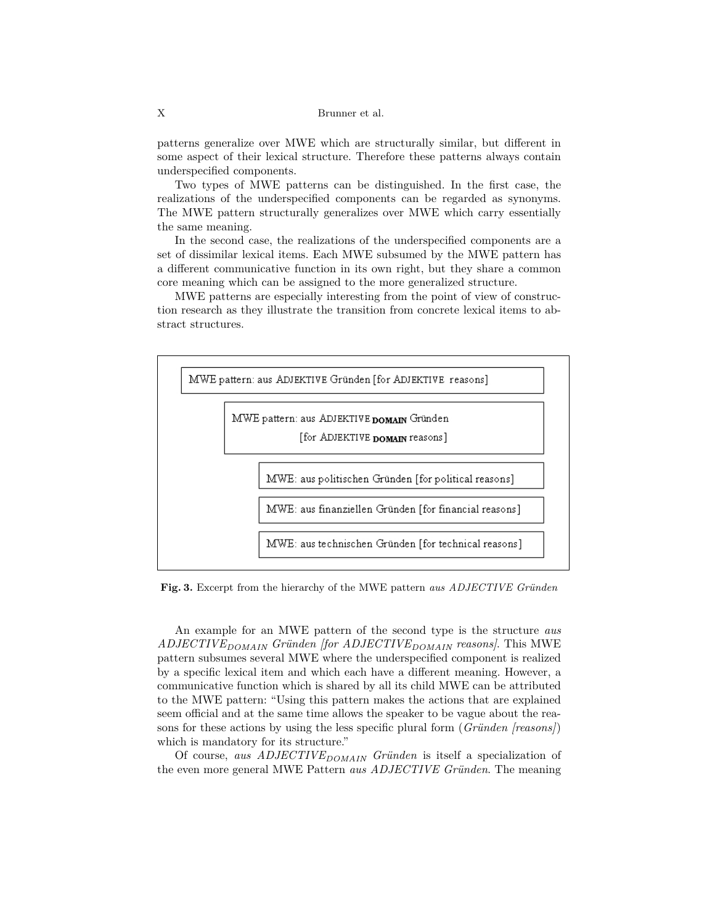patterns generalize over MWE which are structurally similar, but different in some aspect of their lexical structure. Therefore these patterns always contain underspecified components.

Two types of MWE patterns can be distinguished. In the first case, the realizations of the underspecified components can be regarded as synonyms. The MWE pattern structurally generalizes over MWE which carry essentially the same meaning.

In the second case, the realizations of the underspecified components are a set of dissimilar lexical items. Each MWE subsumed by the MWE pattern has a different communicative function in its own right, but they share a common core meaning which can be assigned to the more generalized structure.

MWE patterns are especially interesting from the point of view of construction research as they illustrate the transition from concrete lexical items to abstract structures.



**Fig. 3.** Excerpt from the hierarchy of the MWE pattern *aus ADJECTIVE Gründen*

An example for an MWE pattern of the second type is the structure *aus ADJECTIVEDOMAIN Gründen [for ADJECTIVEDOMAIN reasons]*. This MWE pattern subsumes several MWE where the underspecified component is realized by a specific lexical item and which each have a different meaning. However, a communicative function which is shared by all its child MWE can be attributed to the MWE pattern: "Using this pattern makes the actions that are explained seem official and at the same time allows the speaker to be vague about the reasons for these actions by using the less specific plural form (*Gründen [reasons]*) which is mandatory for its structure."

Of course, *aus ADJECTIVEDOMAIN Gründen* is itself a specialization of the even more general MWE Pattern *aus ADJECTIVE Gründen*. The meaning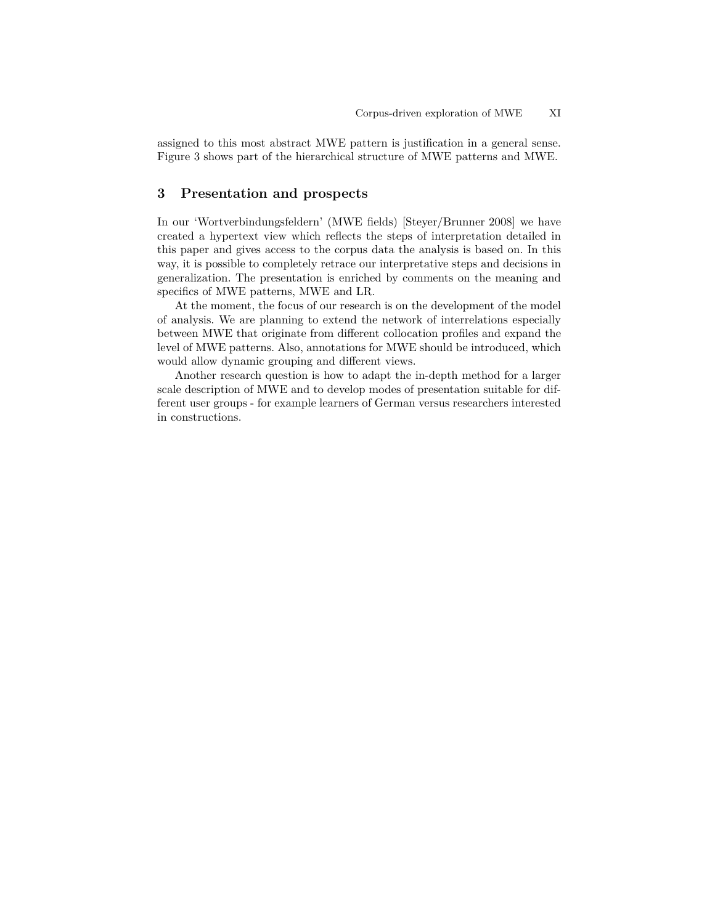assigned to this most abstract MWE pattern is justification in a general sense. Figure 3 shows part of the hierarchical structure of MWE patterns and MWE.

## **3 Presentation and prospects**

In our 'Wortverbindungsfeldern' (MWE fields) [Steyer/Brunner 2008] we have created a hypertext view which reflects the steps of interpretation detailed in this paper and gives access to the corpus data the analysis is based on. In this way, it is possible to completely retrace our interpretative steps and decisions in generalization. The presentation is enriched by comments on the meaning and specifics of MWE patterns, MWE and LR.

At the moment, the focus of our research is on the development of the model of analysis. We are planning to extend the network of interrelations especially between MWE that originate from different collocation profiles and expand the level of MWE patterns. Also, annotations for MWE should be introduced, which would allow dynamic grouping and different views.

Another research question is how to adapt the in-depth method for a larger scale description of MWE and to develop modes of presentation suitable for different user groups - for example learners of German versus researchers interested in constructions.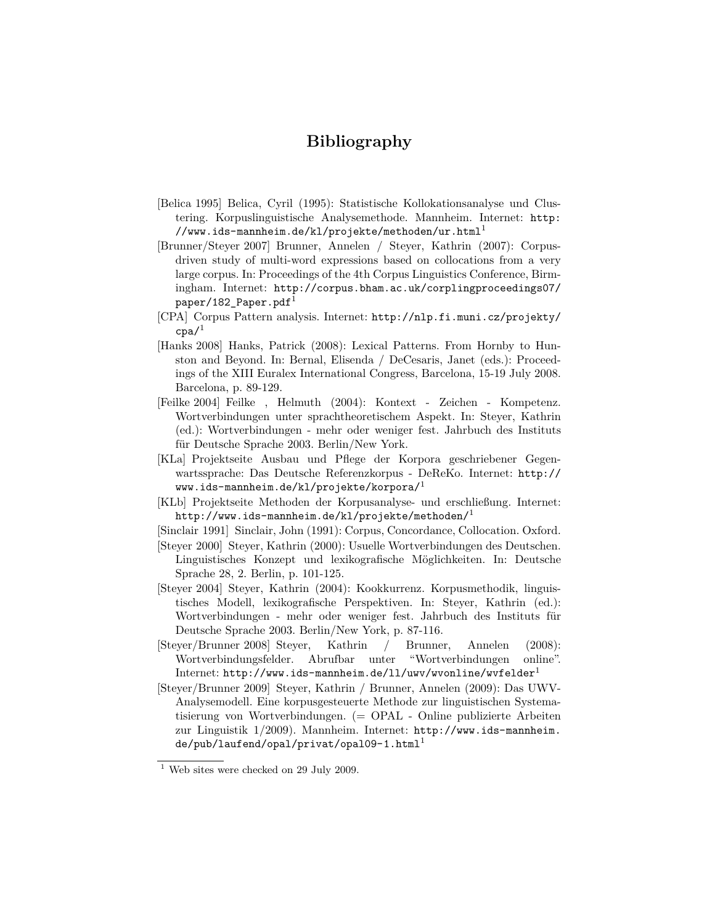# **Bibliography**

- [Belica 1995] Belica, Cyril (1995): Statistische Kollokationsanalyse und Clustering. Korpuslinguistische Analysemethode. Mannheim. Internet: http: //www.ids-mannheim.de/kl/projekte/methoden/ur.html<sup>1</sup>
- [Brunner/Steyer 2007] Brunner, Annelen / Steyer, Kathrin (2007): Corpusdriven study of multi-word expressions based on collocations from a very large corpus. In: Proceedings of the 4th Corpus Linguistics Conference, Birmingham. Internet: http://corpus.bham.ac.uk/corplingproceedings07/ paper/182\_Paper.pdf<sup>1</sup>
- [CPA] Corpus Pattern analysis. Internet: http://nlp.fi.muni.cz/projekty/  $cpa/$ <sup>1</sup>
- [Hanks 2008] Hanks, Patrick (2008): Lexical Patterns. From Hornby to Hunston and Beyond. In: Bernal, Elisenda / DeCesaris, Janet (eds.): Proceedings of the XIII Euralex International Congress, Barcelona, 15-19 July 2008. Barcelona, p. 89-129.
- [Feilke 2004] Feilke , Helmuth (2004): Kontext Zeichen Kompetenz. Wortverbindungen unter sprachtheoretischem Aspekt. In: Steyer, Kathrin (ed.): Wortverbindungen - mehr oder weniger fest. Jahrbuch des Instituts für Deutsche Sprache 2003. Berlin/New York.
- [KLa] Projektseite Ausbau und Pflege der Korpora geschriebener Gegenwartssprache: Das Deutsche Referenzkorpus - DeReKo. Internet: http:// www.ids-mannheim.de/kl/projekte/korpora/<sup>1</sup>
- [KLb] Projektseite Methoden der Korpusanalyse- und erschließung. Internet: http://www.ids-mannheim.de/kl/projekte/methoden/<sup>1</sup>
- [Sinclair 1991] Sinclair, John (1991): Corpus, Concordance, Collocation. Oxford.
- [Steyer 2000] Steyer, Kathrin (2000): Usuelle Wortverbindungen des Deutschen. Linguistisches Konzept und lexikografische Möglichkeiten. In: Deutsche Sprache 28, 2. Berlin, p. 101-125.
- [Steyer 2004] Steyer, Kathrin (2004): Kookkurrenz. Korpusmethodik, linguistisches Modell, lexikografische Perspektiven. In: Steyer, Kathrin (ed.): Wortverbindungen - mehr oder weniger fest. Jahrbuch des Instituts für Deutsche Sprache 2003. Berlin/New York, p. 87-116.
- [Steyer/Brunner 2008] Steyer, Kathrin / Brunner, Annelen (2008): Wortverbindungsfelder. Abrufbar unter "Wortverbindungen online". Internet: http://www.ids-mannheim.de/ll/uwv/wvonline/wvfelder<sup>1</sup>
- [Steyer/Brunner 2009] Steyer, Kathrin / Brunner, Annelen (2009): Das UWV-Analysemodell. Eine korpusgesteuerte Methode zur linguistischen Systematisierung von Wortverbindungen. (= OPAL - Online publizierte Arbeiten zur Linguistik 1/2009). Mannheim. Internet: http://www.ids-mannheim. de/pub/laufend/opal/privat/opal09-1.html<sup>1</sup>

 $\overline{1}$  Web sites were checked on 29 July 2009.